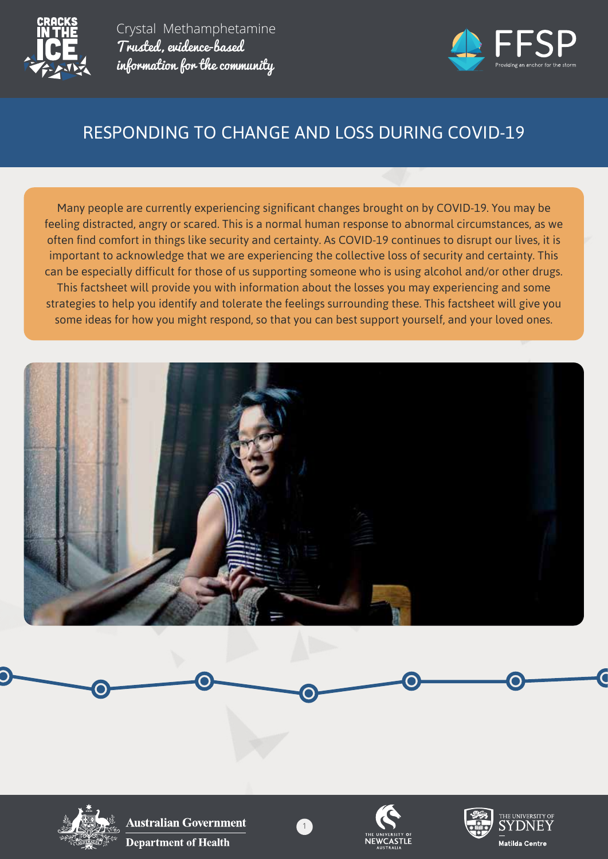



# RESPONDING TO CHANGE AND LOSS DURING COVID-19

Many people are currently experiencing significant changes brought on by COVID-19. You may be feeling distracted, angry or scared. This is a normal human response to abnormal circumstances, as we often find comfort in things like security and certainty. As COVID-19 continues to disrupt our lives, it is important to acknowledge that we are experiencing the collective loss of security and certainty. This can be especially difficult for those of us supporting someone who is using alcohol and/or other drugs. This factsheet will provide you with information about the losses you may experiencing and some strategies to help you identify and tolerate the feelings surrounding these. This factsheet will give you some ideas for how you might respond, so that you can best support yourself, and your loved ones.



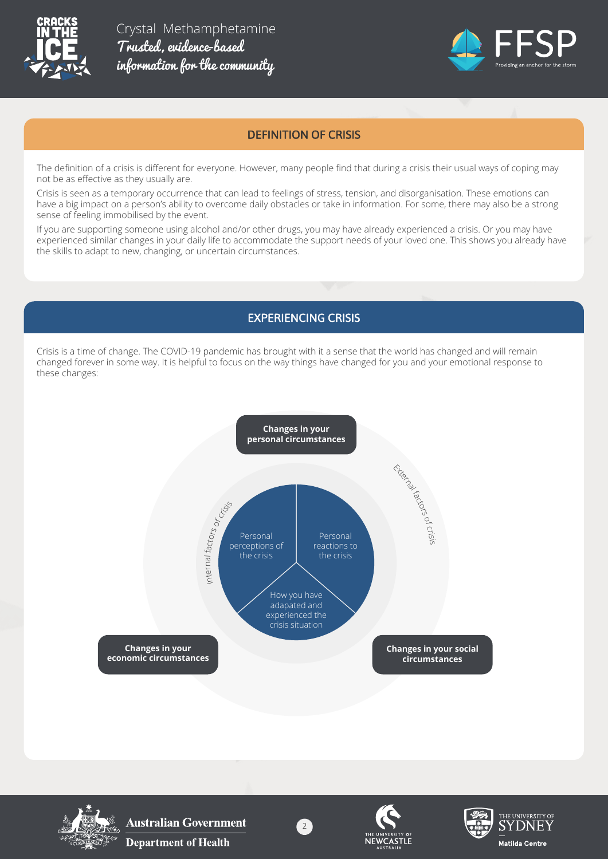



### DEFINITION OF CRISIS

The definition of a crisis is different for everyone. However, many people find that during a crisis their usual ways of coping may not be as effective as they usually are.

Crisis is seen as a temporary occurrence that can lead to feelings of stress, tension, and disorganisation. These emotions can have a big impact on a person's ability to overcome daily obstacles or take in information. For some, there may also be a strong sense of feeling immobilised by the event.

If you are supporting someone using alcohol and/or other drugs, you may have already experienced a crisis. Or you may have experienced similar changes in your daily life to accommodate the support needs of your loved one. This shows you already have the skills to adapt to new, changing, or uncertain circumstances.

# EXPERIENCING CRISIS

Crisis is a time of change. The COVID-19 pandemic has brought with it a sense that the world has changed and will remain changed forever in some way. It is helpful to focus on the way things have changed for you and your emotional response to these changes:





**Australian Government Department of Health** 



2



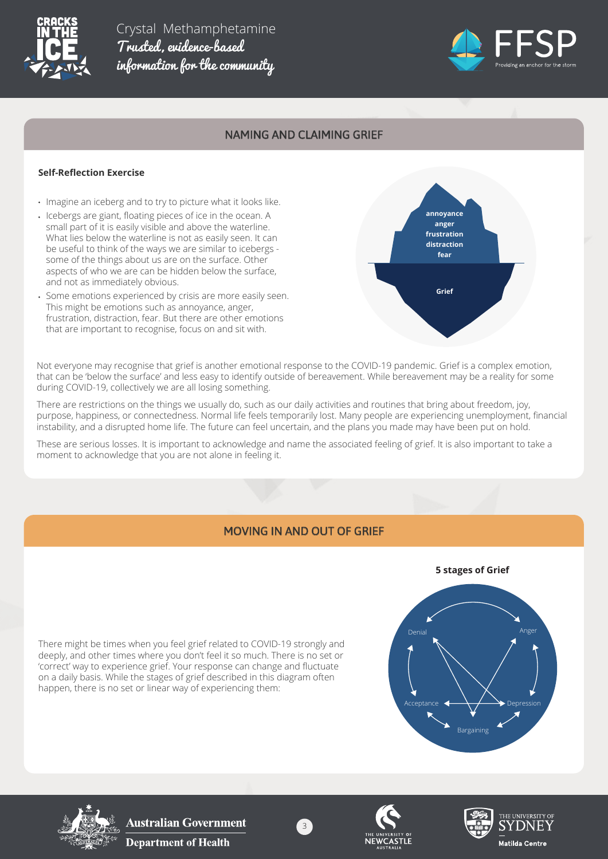



### NAMING AND CLAIMING GRIEF

#### **Self-Reflection Exercise**

- Imagine an iceberg and to try to picture what it looks like.
- Icebergs are giant, floating pieces of ice in the ocean. A small part of it is easily visible and above the waterline. What lies below the waterline is not as easily seen. It can be useful to think of the ways we are similar to icebergs some of the things about us are on the surface. Other aspects of who we are can be hidden below the surface, and not as immediately obvious.
- Some emotions experienced by crisis are more easily seen. This might be emotions such as annoyance, anger, frustration, distraction, fear. But there are other emotions that are important to recognise, focus on and sit with.



Not everyone may recognise that grief is another emotional response to the COVID-19 pandemic. Grief is a complex emotion, that can be 'below the surface' and less easy to identify outside of bereavement. While bereavement may be a reality for some during COVID-19, collectively we are all losing something.

There are restrictions on the things we usually do, such as our daily activities and routines that bring about freedom, joy, purpose, happiness, or connectedness. Normal life feels temporarily lost. Many people are experiencing unemployment, financial instability, and a disrupted home life. The future can feel uncertain, and the plans you made may have been put on hold.

These are serious losses. It is important to acknowledge and name the associated feeling of grief. It is also important to take a moment to acknowledge that you are not alone in feeling it.

#### MOVING IN AND OUT OF GRIEF

There might be times when you feel grief related to COVID-19 strongly and deeply, and other times where you don't feel it so much. There is no set or 'correct' way to experience grief. Your response can change and fluctuate on a daily basis. While the stages of grief described in this diagram often happen, there is no set or linear way of experiencing them:





**Australian Government Department of Health** 



3



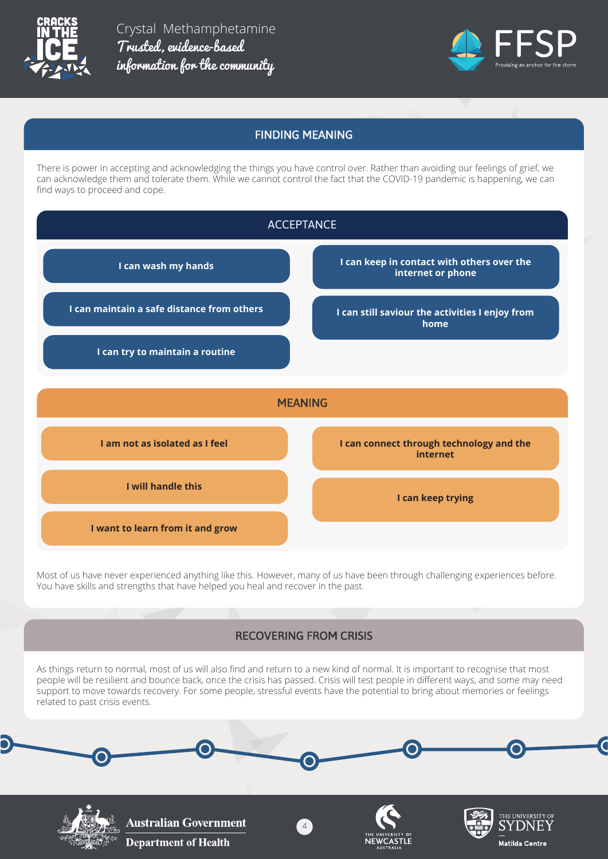



# FINDING MEANING

There is power in accepting and acknowledging the things you have control over. Rather than avoiding our feelings of grief, we can acknowledge them and tolerate them. While we cannot control the fact that the COVID-19 pandemic is happening, we can find ways to proceed and cope.



Most of us have never experienced anything like this. However, many of us have been through challenging experiences before. You have skills and strengths that have helped you heal and recover in the past.

# RECOVERING FROM CRISIS

As things return to normal, most of us will also find and return to a new kind of normal. It is important to recognise that most people will be resilient and bounce back, once the crisis has passed. Crisis will test people in different ways, and some may need support to move towards recovery. For some people, stressful events have the potential to bring about memories or feelings related to past crisis events.

4



**Australian Government Department of Health**